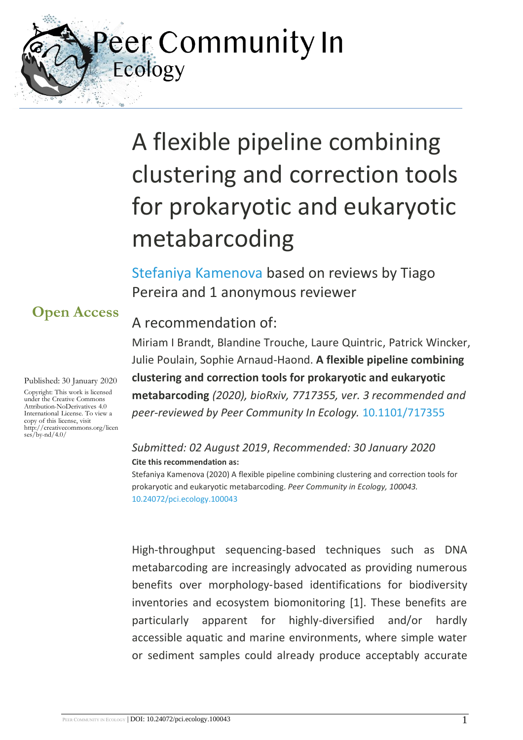Peer Community In Ecology

# A flexible pipeline combining clustering and correction tools for prokaryotic and eukaryotic metabarcoding

[Stefaniya Kamenova](https://ecology.peercommunityin.org/public/viewUserCard?userId=18) based on reviews by Tiago Pereira and 1 anonymous reviewer

### A recommendation of:

Miriam I Brandt, Blandine Trouche, Laure Quintric, Patrick Wincker, Julie Poulain, Sophie Arnaud-Haond. **A flexible pipeline combining clustering and correction tools for prokaryotic and eukaryotic metabarcoding** *(2020), bioRxiv, 7717355, ver. 3 recommended and peer-reviewed by Peer Community In Ecology.* [10.1101/717355](https://doi.org/10.1101/717355)

#### *Submitted: 02 August 2019*, *Recommended: 30 January 2020* **Cite this recommendation as:**

Stefaniya Kamenova (2020) A flexible pipeline combining clustering and correction tools for prokaryotic and eukaryotic metabarcoding. *Peer Community in Ecology, 100043.*  [10.24072/pci.ecology.100043](https://doi.org/10.24072/pci.ecology.100043)

High-throughput sequencing-based techniques such as DNA metabarcoding are increasingly advocated as providing numerous benefits over morphology‐based identifications for biodiversity inventories and ecosystem biomonitoring [1]. These benefits are particularly apparent for highly-diversified and/or hardly accessible aquatic and marine environments, where simple water or sediment samples could already produce acceptably accurate

# **Open Access**

Published: 30 January 2020

Copyright: This work is licensed under the Creative Commons Attribution-NoDerivatives 4.0 International License. To view a copy of this license, visit http://creativecommons.org/licen  $ses/bv-nd/4.0/$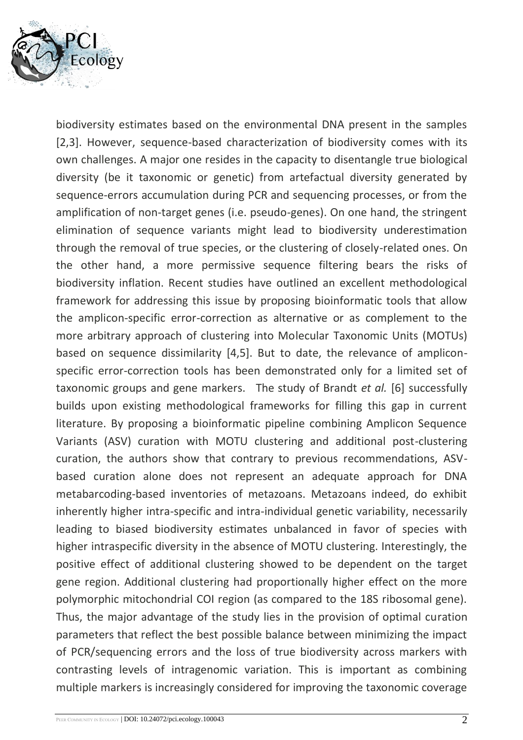

biodiversity estimates based on the environmental DNA present in the samples [2,3]. However, sequence-based characterization of biodiversity comes with its own challenges. A major one resides in the capacity to disentangle true biological diversity (be it taxonomic or genetic) from artefactual diversity generated by sequence-errors accumulation during PCR and sequencing processes, or from the amplification of non-target genes (i.e. pseudo-genes). On one hand, the stringent elimination of sequence variants might lead to biodiversity underestimation through the removal of true species, or the clustering of closely-related ones. On the other hand, a more permissive sequence filtering bears the risks of biodiversity inflation. Recent studies have outlined an excellent methodological framework for addressing this issue by proposing bioinformatic tools that allow the amplicon-specific error-correction as alternative or as complement to the more arbitrary approach of clustering into Molecular Taxonomic Units (MOTUs) based on sequence dissimilarity [4,5]. But to date, the relevance of ampliconspecific error-correction tools has been demonstrated only for a limited set of taxonomic groups and gene markers. The study of Brandt *et al.* [6] successfully builds upon existing methodological frameworks for filling this gap in current literature. By proposing a bioinformatic pipeline combining Amplicon Sequence Variants (ASV) curation with MOTU clustering and additional post-clustering curation, the authors show that contrary to previous recommendations, ASVbased curation alone does not represent an adequate approach for DNA metabarcoding-based inventories of metazoans. Metazoans indeed, do exhibit inherently higher intra-specific and intra-individual genetic variability, necessarily leading to biased biodiversity estimates unbalanced in favor of species with higher intraspecific diversity in the absence of MOTU clustering. Interestingly, the positive effect of additional clustering showed to be dependent on the target gene region. Additional clustering had proportionally higher effect on the more polymorphic mitochondrial COI region (as compared to the 18S ribosomal gene). Thus, the major advantage of the study lies in the provision of optimal curation parameters that reflect the best possible balance between minimizing the impact of PCR/sequencing errors and the loss of true biodiversity across markers with contrasting levels of intragenomic variation. This is important as combining multiple markers is increasingly considered for improving the taxonomic coverage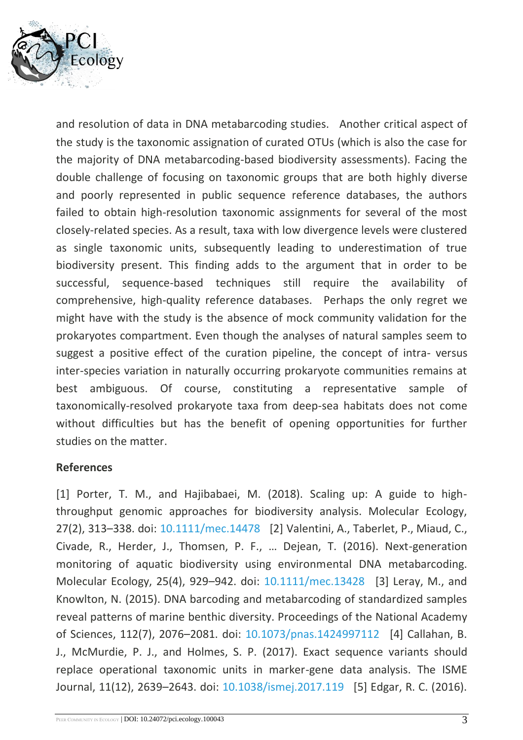

and resolution of data in DNA metabarcoding studies. Another critical aspect of the study is the taxonomic assignation of curated OTUs (which is also the case for the majority of DNA metabarcoding-based biodiversity assessments). Facing the double challenge of focusing on taxonomic groups that are both highly diverse and poorly represented in public sequence reference databases, the authors failed to obtain high-resolution taxonomic assignments for several of the most closely-related species. As a result, taxa with low divergence levels were clustered as single taxonomic units, subsequently leading to underestimation of true biodiversity present. This finding adds to the argument that in order to be successful, sequence-based techniques still require the availability of comprehensive, high-quality reference databases. Perhaps the only regret we might have with the study is the absence of mock community validation for the prokaryotes compartment. Even though the analyses of natural samples seem to suggest a positive effect of the curation pipeline, the concept of intra- versus inter-species variation in naturally occurring prokaryote communities remains at best ambiguous. Of course, constituting a representative sample of taxonomically-resolved prokaryote taxa from deep-sea habitats does not come without difficulties but has the benefit of opening opportunities for further studies on the matter.

#### **References**

[1] Porter, T. M., and Hajibabaei, M. (2018). Scaling up: A guide to highthroughput genomic approaches for biodiversity analysis. Molecular Ecology, 27(2), 313–338. doi: [10.1111/mec.14478](https://dx.doi.org/10.1111/mec.14478) [2] Valentini, A., Taberlet, P., Miaud, C., Civade, R., Herder, J., Thomsen, P. F., … Dejean, T. (2016). Next-generation monitoring of aquatic biodiversity using environmental DNA metabarcoding. Molecular Ecology, 25(4), 929–942. doi: [10.1111/mec.13428](https://dx.doi.org/10.1111/mec.13428) [3] Leray, M., and Knowlton, N. (2015). DNA barcoding and metabarcoding of standardized samples reveal patterns of marine benthic diversity. Proceedings of the National Academy of Sciences, 112(7), 2076–2081. doi: [10.1073/pnas.1424997112](https://dx.doi.org/10.1073/pnas.1424997112) [4] Callahan, B. J., McMurdie, P. J., and Holmes, S. P. (2017). Exact sequence variants should replace operational taxonomic units in marker-gene data analysis. The ISME Journal, 11(12), 2639–2643. doi: [10.1038/ismej.2017.119](https://dx.doi.org/10.1038/ismej.2017.119) [5] Edgar, R. C. (2016).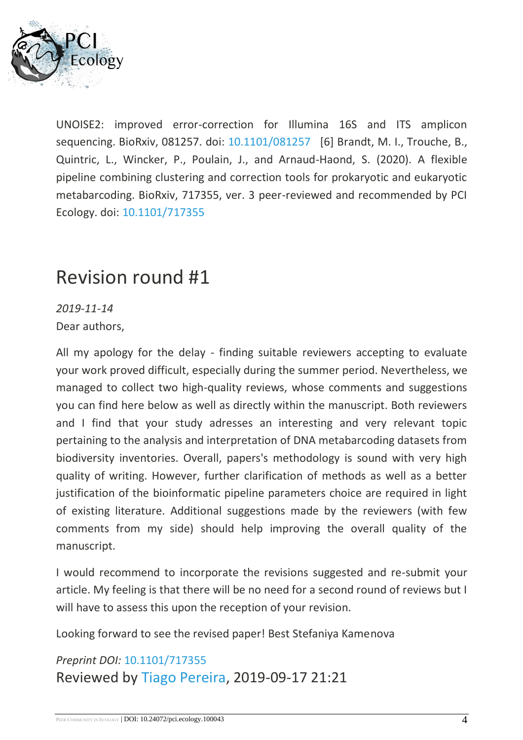

UNOISE2: improved error-correction for Illumina 16S and ITS amplicon sequencing. BioRxiv, 081257. doi: [10.1101/081257](https://dx.doi.org/10.1101/081257) [6] Brandt, M. I., Trouche, B., Quintric, L., Wincker, P., Poulain, J., and Arnaud-Haond, S. (2020). A flexible pipeline combining clustering and correction tools for prokaryotic and eukaryotic metabarcoding. BioRxiv, 717355, ver. 3 peer-reviewed and recommended by PCI Ecology. doi: [10.1101/717355](https://dx.doi.org/10.1101/717355)

# Revision round #1

*2019-11-14*

Dear authors,

All my apology for the delay - finding suitable reviewers accepting to evaluate your work proved difficult, especially during the summer period. Nevertheless, we managed to collect two high-quality reviews, whose comments and suggestions you can find here below as well as directly within the manuscript. Both reviewers and I find that your study adresses an interesting and very relevant topic pertaining to the analysis and interpretation of DNA metabarcoding datasets from biodiversity inventories. Overall, papers's methodology is sound with very high quality of writing. However, further clarification of methods as well as a better justification of the bioinformatic pipeline parameters choice are required in light of existing literature. Additional suggestions made by the reviewers (with few comments from my side) should help improving the overall quality of the manuscript.

I would recommend to incorporate the revisions suggested and re-submit your article. My feeling is that there will be no need for a second round of reviews but I will have to assess this upon the reception of your revision.

Looking forward to see the revised paper! Best Stefaniya Kamenova

## *Preprint DOI:* [10.1101/717355](https://doi.org/10.1101/717355)  Reviewed by [Tiago Pereira,](https://ecology.peercommunityin.org/public/viewUserCard?userId=942) 2019-09-17 21:21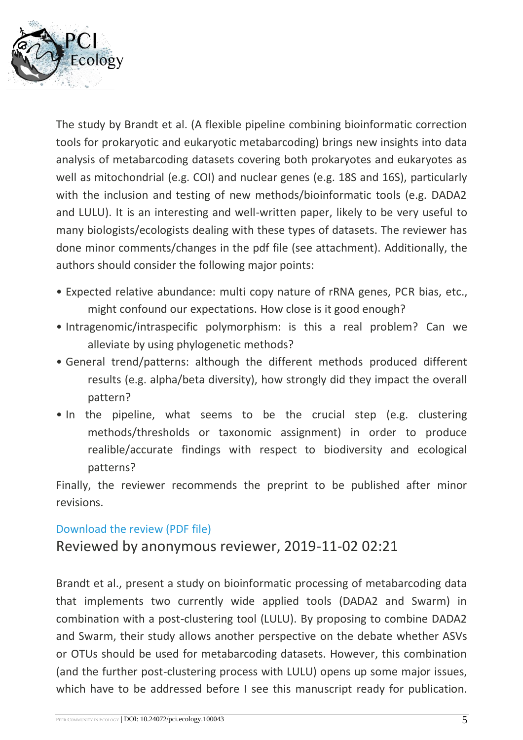

The study by Brandt et al. (A flexible pipeline combining bioinformatic correction tools for prokaryotic and eukaryotic metabarcoding) brings new insights into data analysis of metabarcoding datasets covering both prokaryotes and eukaryotes as well as mitochondrial (e.g. COI) and nuclear genes (e.g. 18S and 16S), particularly with the inclusion and testing of new methods/bioinformatic tools (e.g. DADA2 and LULU). It is an interesting and well-written paper, likely to be very useful to many biologists/ecologists dealing with these types of datasets. The reviewer has done minor comments/changes in the pdf file (see attachment). Additionally, the authors should consider the following major points:

- Expected relative abundance: multi copy nature of rRNA genes, PCR bias, etc., might confound our expectations. How close is it good enough?
- Intragenomic/intraspecific polymorphism: is this a real problem? Can we alleviate by using phylogenetic methods?
- General trend/patterns: although the different methods produced different results (e.g. alpha/beta diversity), how strongly did they impact the overall pattern?
- In the pipeline, what seems to be the crucial step (e.g. clustering methods/thresholds or taxonomic assignment) in order to produce realible/accurate findings with respect to biodiversity and ecological patterns?

Finally, the reviewer recommends the preprint to be published after minor revisions.

#### [Download the review \(PDF file\)](https://ecology.peercommunityin.org/download/t_reviews.review_pdf.a5acaa247bf59c72.3731373335352e66756c6c2d72657669657765642e706466.pdf)

Reviewed by anonymous reviewer, 2019-11-02 02:21

Brandt et al., present a study on bioinformatic processing of metabarcoding data that implements two currently wide applied tools (DADA2 and Swarm) in combination with a post-clustering tool (LULU). By proposing to combine DADA2 and Swarm, their study allows another perspective on the debate whether ASVs or OTUs should be used for metabarcoding datasets. However, this combination (and the further post-clustering process with LULU) opens up some major issues, which have to be addressed before I see this manuscript ready for publication.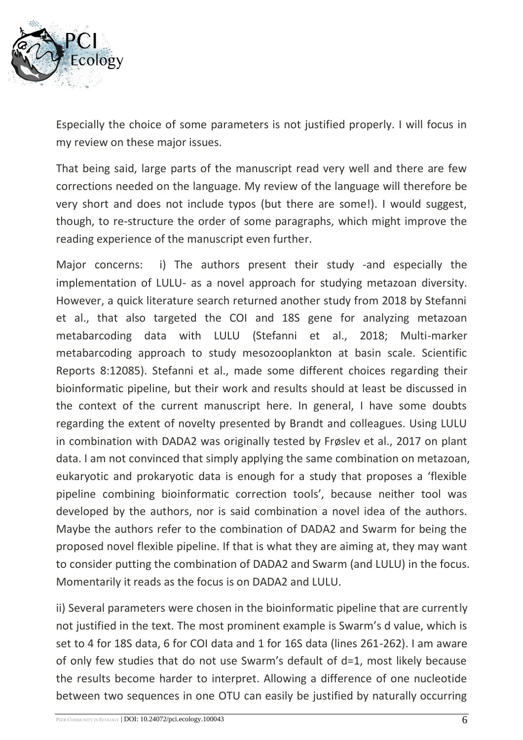

Especially the choice of some parameters is not justified properly. I will focus in my review on these major issues.

That being said, large parts of the manuscript read very well and there are few corrections needed on the language. My review of the language will therefore be very short and does not include typos (but there are some!). I would suggest, though, to re-structure the order of some paragraphs, which might improve the reading experience of the manuscript even further.

Major concerns: i) The authors present their study -and especially the implementation of LULU- as a novel approach for studying metazoan diversity. However, a quick literature search returned another study from 2018 by Stefanni et al., that also targeted the COI and 18S gene for analyzing metazoan metabarcoding data with LULU (Stefanni et al., 2018; Multi-marker metabarcoding approach to study mesozooplankton at basin scale. Scientific Reports 8:12085). Stefanni et al., made some different choices regarding their bioinformatic pipeline, but their work and results should at least be discussed in the context of the current manuscript here. In general, I have some doubts regarding the extent of novelty presented by Brandt and colleagues. Using LULU in combination with DADA2 was originally tested by Frøslev et al., 2017 on plant data. I am not convinced that simply applying the same combination on metazoan, eukaryotic and prokaryotic data is enough for a study that proposes a 'flexible pipeline combining bioinformatic correction tools', because neither tool was developed by the authors, nor is said combination a novel idea of the authors. Maybe the authors refer to the combination of DADA2 and Swarm for being the proposed novel flexible pipeline. If that is what they are aiming at, they may want to consider putting the combination of DADA2 and Swarm (and LULU) in the focus. Momentarily it reads as the focus is on DADA2 and LULU.

ii) Several parameters were chosen in the bioinformatic pipeline that are currently not justified in the text. The most prominent example is Swarm's d value, which is set to 4 for 18S data, 6 for COI data and 1 for 16S data (lines 261-262). I am aware of only few studies that do not use Swarm's default of d=1, most likely because the results become harder to interpret. Allowing a difference of one nucleotide between two sequences in one OTU can easily be justified by naturally occurring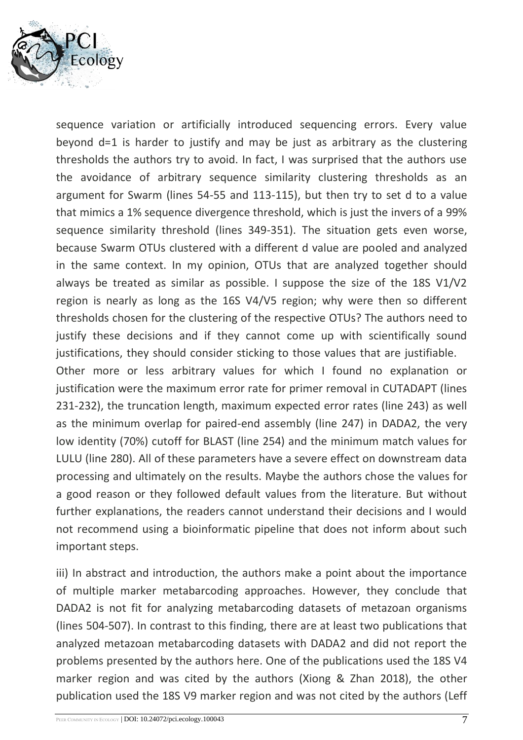

sequence variation or artificially introduced sequencing errors. Every value beyond d=1 is harder to justify and may be just as arbitrary as the clustering thresholds the authors try to avoid. In fact, I was surprised that the authors use the avoidance of arbitrary sequence similarity clustering thresholds as an argument for Swarm (lines 54-55 and 113-115), but then try to set d to a value that mimics a 1% sequence divergence threshold, which is just the invers of a 99% sequence similarity threshold (lines 349-351). The situation gets even worse, because Swarm OTUs clustered with a different d value are pooled and analyzed in the same context. In my opinion, OTUs that are analyzed together should always be treated as similar as possible. I suppose the size of the 18S V1/V2 region is nearly as long as the 16S V4/V5 region; why were then so different thresholds chosen for the clustering of the respective OTUs? The authors need to justify these decisions and if they cannot come up with scientifically sound justifications, they should consider sticking to those values that are justifiable. Other more or less arbitrary values for which I found no explanation or justification were the maximum error rate for primer removal in CUTADAPT (lines 231-232), the truncation length, maximum expected error rates (line 243) as well as the minimum overlap for paired-end assembly (line 247) in DADA2, the very low identity (70%) cutoff for BLAST (line 254) and the minimum match values for LULU (line 280). All of these parameters have a severe effect on downstream data processing and ultimately on the results. Maybe the authors chose the values for a good reason or they followed default values from the literature. But without further explanations, the readers cannot understand their decisions and I would not recommend using a bioinformatic pipeline that does not inform about such important steps.

iii) In abstract and introduction, the authors make a point about the importance of multiple marker metabarcoding approaches. However, they conclude that DADA2 is not fit for analyzing metabarcoding datasets of metazoan organisms (lines 504-507). In contrast to this finding, there are at least two publications that analyzed metazoan metabarcoding datasets with DADA2 and did not report the problems presented by the authors here. One of the publications used the 18S V4 marker region and was cited by the authors (Xiong & Zhan 2018), the other publication used the 18S V9 marker region and was not cited by the authors (Leff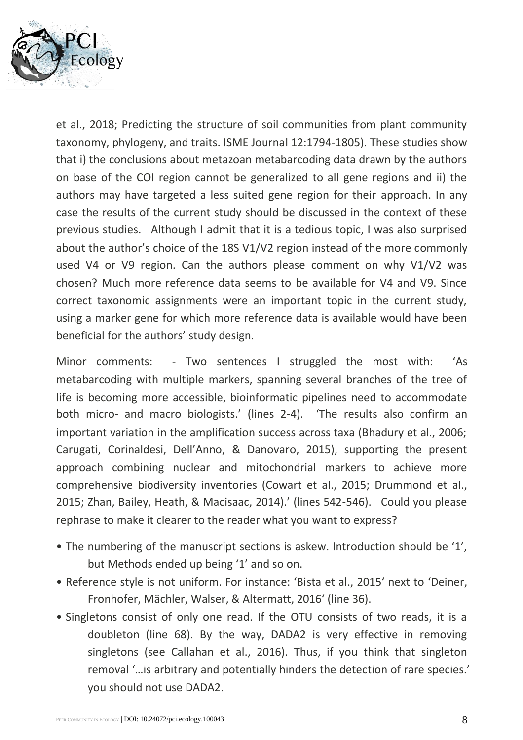

et al., 2018; Predicting the structure of soil communities from plant community taxonomy, phylogeny, and traits. ISME Journal 12:1794-1805). These studies show that i) the conclusions about metazoan metabarcoding data drawn by the authors on base of the COI region cannot be generalized to all gene regions and ii) the authors may have targeted a less suited gene region for their approach. In any case the results of the current study should be discussed in the context of these previous studies. Although I admit that it is a tedious topic, I was also surprised about the author's choice of the 18S V1/V2 region instead of the more commonly used V4 or V9 region. Can the authors please comment on why V1/V2 was chosen? Much more reference data seems to be available for V4 and V9. Since correct taxonomic assignments were an important topic in the current study, using a marker gene for which more reference data is available would have been beneficial for the authors' study design.

Minor comments: - Two sentences I struggled the most with: 'As metabarcoding with multiple markers, spanning several branches of the tree of life is becoming more accessible, bioinformatic pipelines need to accommodate both micro- and macro biologists.' (lines 2-4). 'The results also confirm an important variation in the amplification success across taxa (Bhadury et al., 2006; Carugati, Corinaldesi, Dell'Anno, & Danovaro, 2015), supporting the present approach combining nuclear and mitochondrial markers to achieve more comprehensive biodiversity inventories (Cowart et al., 2015; Drummond et al., 2015; Zhan, Bailey, Heath, & Macisaac, 2014).' (lines 542-546). Could you please rephrase to make it clearer to the reader what you want to express?

- The numbering of the manuscript sections is askew. Introduction should be '1', but Methods ended up being '1' and so on.
- Reference style is not uniform. For instance: 'Bista et al., 2015' next to 'Deiner, Fronhofer, Mächler, Walser, & Altermatt, 2016' (line 36).
- Singletons consist of only one read. If the OTU consists of two reads, it is a doubleton (line 68). By the way, DADA2 is very effective in removing singletons (see Callahan et al., 2016). Thus, if you think that singleton removal '…is arbitrary and potentially hinders the detection of rare species.' you should not use DADA2.